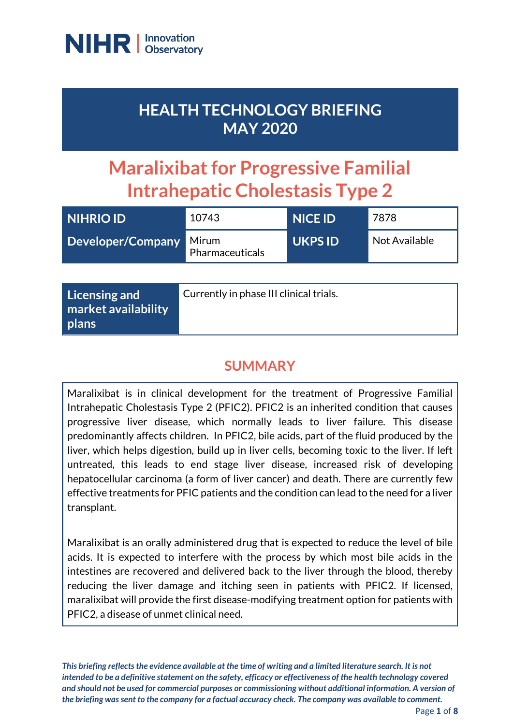

# **HEALTH TECHNOLOGY BRIEFING MAY 2020**

# **Maralixibat for Progressive Familial Intrahepatic Cholestasis Type 2**

| <b>NIHRIO ID</b>  | 10743                    | <b>NICE ID</b> | 7878          |
|-------------------|--------------------------|----------------|---------------|
| Developer/Company | Mirum<br>Pharmaceuticals | <b>UKPS ID</b> | Not Available |

# **SUMMARY**

Maralixibat is in clinical development for the treatment of Progressive Familial Intrahepatic Cholestasis Type 2 (PFIC2). PFIC2 is an inherited condition that causes progressive liver disease, which normally leads to liver failure. This disease predominantly affects children. In PFIC2, bile acids, part of the fluid produced by the liver, which helps digestion, build up in liver cells, becoming toxic to the liver. If left untreated, this leads to end stage liver disease, increased risk of developing hepatocellular carcinoma (a form of liver cancer) and death. There are currently few effective treatments for PFIC patients and the condition can lead to the need for a liver transplant.

Maralixibat is an orally administered drug that is expected to reduce the level of bile acids. It is expected to interfere with the process by which most bile acids in the intestines are recovered and delivered back to the liver through the blood, thereby reducing the liver damage and itching seen in patients with PFIC2. If licensed, maralixibat will provide the first disease-modifying treatment option for patients with PFIC2, a disease of unmet clinical need.

*This briefing reflects the evidence available at the time of writing and a limited literature search. It is not intended to be a definitive statement on the safety, efficacy or effectiveness of the health technology covered and should not be used for commercial purposes or commissioning without additional information. A version of the briefing was sent to the company for a factual accuracy check. The company was available to comment.*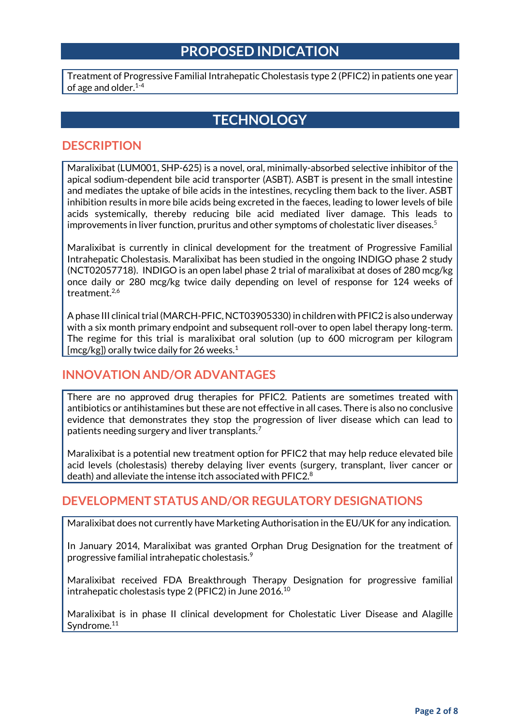### **PROPOSED INDICATION**

Treatment of Progressive Familial Intrahepatic Cholestasis type 2 (PFIC2) in patients one year of age and older. 1-4

## **TECHNOLOGY**

#### **DESCRIPTION**

Maralixibat (LUM001, SHP-625) is a novel, oral, minimally-absorbed selective inhibitor of the apical sodium-dependent bile acid transporter (ASBT). ASBT is present in the small intestine and mediates the uptake of bile acids in the intestines, recycling them back to the liver. ASBT inhibition results in more bile acids being excreted in the faeces, leading to lower levels of bile acids systemically, thereby reducing bile acid mediated liver damage. This leads to improvements in liver function, pruritus and other symptoms of cholestatic liver diseases.<sup>5</sup>

Maralixibat is currently in clinical development for the treatment of Progressive Familial Intrahepatic Cholestasis. Maralixibat has been studied in the ongoing INDIGO phase 2 study (NCT02057718). INDIGO is an open label phase 2 trial of maralixibat at doses of 280 mcg/kg once daily or 280 mcg/kg twice daily depending on level of response for 124 weeks of treatment.<sup>2,6</sup>

Aphase III clinical trial (MARCH-PFIC, NCT03905330) in children with PFIC2 is also underway with a six month primary endpoint and subsequent roll-over to open label therapy long-term. The regime for this trial is maralixibat oral solution (up to 600 microgram per kilogram [mcg/kg]) orally twice daily for 26 weeks.<sup>1</sup>

#### **INNOVATION AND/OR ADVANTAGES**

There are no approved drug therapies for PFIC2. Patients are sometimes treated with antibiotics or antihistamines but these are not effective in all cases. There is also no conclusive evidence that demonstrates they stop the progression of liver disease which can lead to patients needing surgery and liver transplants.<sup>7</sup>

Maralixibat is a potential new treatment option for PFIC2 that may help reduce elevated bile acid levels (cholestasis) thereby delaying liver events (surgery, transplant, liver cancer or death) and alleviate the intense itch associated with  $P_{0}^{2}$ 

#### **DEVELOPMENT STATUS AND/OR REGULATORY DESIGNATIONS**

Maralixibat does not currently have Marketing Authorisation in the EU/UK for any indication.

In January 2014, Maralixibat was granted Orphan Drug Designation for the treatment of progressive familial intrahepatic cholestasis. $^{\textrm{\textregistered}}$ 

Maralixibat received FDA Breakthrough Therapy Designation for progressive familial intrahepatic cholestasis type 2 (PFIC2) in June 2016.<sup>10</sup>

Maralixibat is in phase II clinical development for Cholestatic Liver Disease and Alagille Syndrome.<sup>11</sup>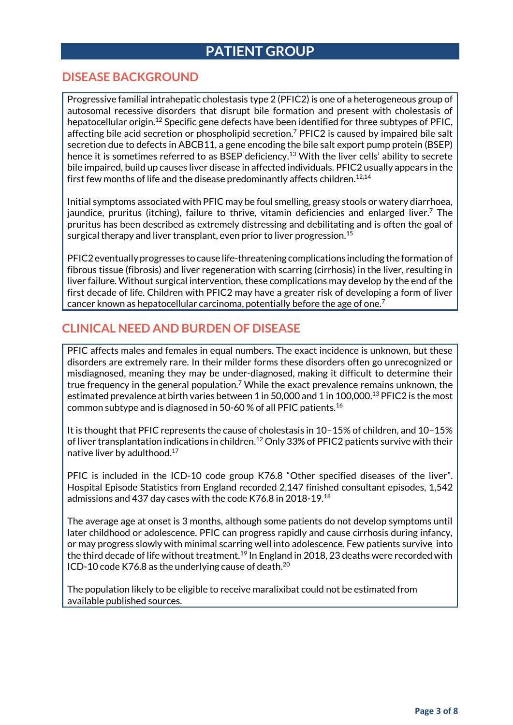# **PATIENT GROUP**

#### **DISEASE BACKGROUND**

Progressive familial intrahepatic cholestasis type 2 (PFIC2) is one of a heterogeneous group of autosomal recessive disorders that disrupt bile formation and present with cholestasis of hepatocellular origin. <sup>12</sup> Specific gene defects have been identified for three subtypes of PFIC, affecting bile acid secretion or phospholipid secretion.<sup>7</sup> PFIC2 is caused by impaired bile salt secretion due to defects in ABCB11, a gene encoding the bile salt export pump protein (BSEP) hence it is sometimes referred to as BSEP deficiency. <sup>13</sup> With the liver cells' ability to secrete bile impaired, build up causes liver disease in affected individuals. PFIC2 usually appears in the first few months of life and the disease predominantly affects children. $^{12,14}$ 

Initial symptoms associated with PFIC may be foul smelling, greasy stools or watery diarrhoea, jaundice, pruritus (itching), failure to thrive, vitamin deficiencies and enlarged liver. <sup>7</sup> The pruritus has been described as extremely distressing and debilitating and is often the goal of surgical therapy and liver transplant, even prior to liver progression.<sup>15</sup>

PFIC2 eventually progresses to cause life-threatening complications including the formation of fibrous tissue (fibrosis) and liver regeneration with scarring (cirrhosis) in the liver, resulting in liver failure. Without surgical intervention, these complications may develop by the end of the first decade of life. Children with PFIC2 may have a greater risk of developing a form of liver cancer known as hepatocellular carcinoma, potentially before the age of one.<sup>7</sup>

#### **CLINICAL NEED AND BURDEN OF DISEASE**

PFIC affects males and females in equal numbers. The exact incidence is unknown, but these disorders are extremely rare. In their milder forms these disorders often go unrecognized or misdiagnosed, meaning they may be under-diagnosed, making it difficult to determine their true frequency in the general population.<sup>7</sup> While the exact prevalence remains unknown, the estimated prevalence at birth varies between 1 in 50,000 and 1 in 100,000.<sup>13</sup> PFIC2 is the most common subtype and is diagnosed in 50-60 % of all PFIC patients.<sup>16</sup>

It is thought that PFIC represents the cause of cholestasis in 10–15% of children, and 10–15% of liver transplantation indications in children. <sup>12</sup> Only 33% of PFIC2 patients survive with their native liver by adulthood.<sup>17</sup>

PFIC is included in the ICD-10 code group K76.8 "Other specified diseases of the liver". Hospital Episode Statistics from England recorded 2,147 finished consultant episodes, 1,542 admissions and 437 day cases with the code K76.8 in 2018-19.<sup>18</sup>

The average age at onset is 3 months, although some patients do not develop symptoms until later childhood or adolescence. PFIC can progress rapidly and cause cirrhosis during infancy, or may progress slowly with minimal scarring well into adolescence. Few patients survive into the third decade of life without treatment.<sup>19</sup> In England in 2018, 23 deaths were recorded with ICD-10 code K76.8 as the underlying cause of death.<sup>20</sup>

The population likely to be eligible to receive maralixibat could not be estimated from available published sources.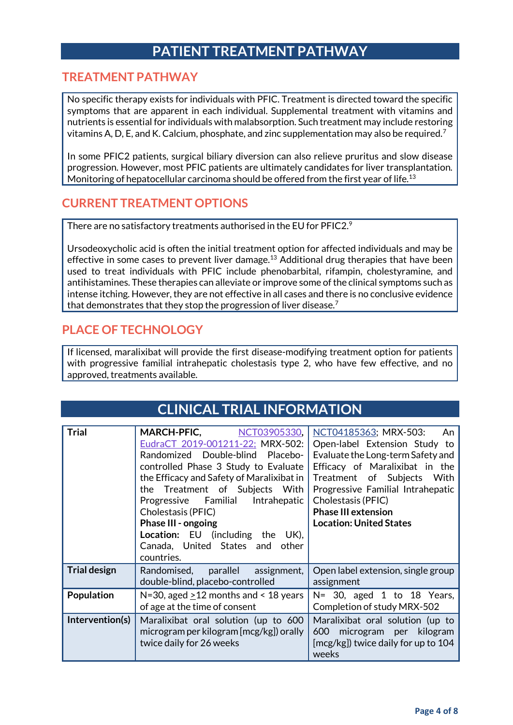# **PATIENT TREATMENT PATHWAY**

#### **TREATMENT PATHWAY**

No specific therapy exists for individuals with PFIC. Treatment is directed toward the specific symptoms that are apparent in each individual. Supplemental treatment with vitamins and nutrients is essential for individuals with malabsorption. Such treatment may include restoring vitamins A, D, E, and K. Calcium, phosphate, and zinc supplementation may also be required.<sup>7</sup>

In some PFIC2 patients, surgical biliary diversion can also relieve pruritus and slow disease progression. However, most PFIC patients are ultimately candidates for liver transplantation. Monitoring of hepatocellular carcinoma should be offered from the first year of life.<sup>13</sup>

#### **CURRENT TREATMENT OPTIONS**

There are no satisfactory treatments authorised in the EU for PFIC2. $^9$ 

Ursodeoxycholic acid is often the initial treatment option for affected individuals and may be effective in some cases to prevent liver damage.<sup>13</sup> Additional drug therapies that have been used to treat individuals with PFIC include phenobarbital, rifampin, cholestyramine, and antihistamines. These therapies can alleviate or improve some of the clinical symptoms such as intense itching. However, they are not effective in all cases and there is no conclusive evidence that demonstrates that they stop the progression of liver disease.<sup>7</sup>

#### **PLACE OF TECHNOLOGY**

If licensed, maralixibat will provide the first disease-modifying treatment option for patients with progressive familial intrahepatic cholestasis type 2, who have few effective, and no approved, treatments available.

| <b>CLINICAL TRIAL INFORMATION</b> |                                                                                                                                                                                                                                                                                                                                                                                                             |                                                                                                                                                                                                                                                                                              |  |  |
|-----------------------------------|-------------------------------------------------------------------------------------------------------------------------------------------------------------------------------------------------------------------------------------------------------------------------------------------------------------------------------------------------------------------------------------------------------------|----------------------------------------------------------------------------------------------------------------------------------------------------------------------------------------------------------------------------------------------------------------------------------------------|--|--|
| <b>Trial</b>                      | MARCH-PFIC, NCT03905330,<br>EudraCT 2019-001211-22; MRX-502:<br>Randomized Double-blind Placebo-<br>controlled Phase 3 Study to Evaluate<br>the Efficacy and Safety of Maralixibat in<br>the Treatment of Subjects With<br>Progressive Familial<br>Intrahepatic<br>Cholestasis (PFIC)<br>Phase III - ongoing<br><b>Location:</b> EU (including the UK),<br>Canada, United States and<br>other<br>countries. | NCT04185363; MRX-503:<br>An<br>Open-label Extension Study to<br>Evaluate the Long-term Safety and<br>Efficacy of Maralixibat in the<br>Treatment of Subjects With<br>Progressive Familial Intrahepatic<br>Cholestasis (PFIC)<br><b>Phase III extension</b><br><b>Location: United States</b> |  |  |
| <b>Trial design</b>               | Randomised, parallel<br>assignment,<br>double-blind, placebo-controlled                                                                                                                                                                                                                                                                                                                                     | Open label extension, single group<br>assignment                                                                                                                                                                                                                                             |  |  |
| Population                        | $N=30$ , aged $\geq 12$ months and < 18 years<br>of age at the time of consent                                                                                                                                                                                                                                                                                                                              | N= 30, aged 1 to 18 Years,<br>Completion of study MRX-502                                                                                                                                                                                                                                    |  |  |
| Intervention(s)                   | Maralixibat oral solution (up to 600<br>microgram per kilogram [mcg/kg]) orally<br>twice daily for 26 weeks                                                                                                                                                                                                                                                                                                 | Maralixibat oral solution (up to<br>microgram per kilogram<br>600<br>[mcg/kg]) twice daily for up to 104<br>weeks                                                                                                                                                                            |  |  |

## **Page 4 of 8**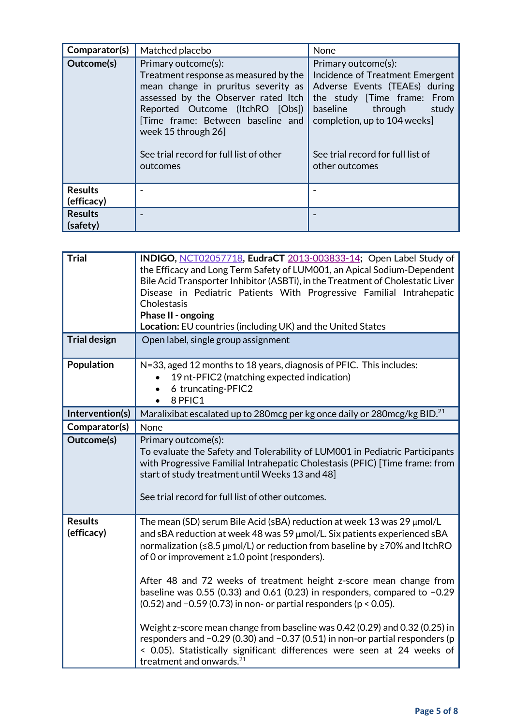| Comparator(s)                | Matched placebo                                                                                                                                                                                                                          | None                                                                                                                                                                                |
|------------------------------|------------------------------------------------------------------------------------------------------------------------------------------------------------------------------------------------------------------------------------------|-------------------------------------------------------------------------------------------------------------------------------------------------------------------------------------|
| Outcome(s)                   | Primary outcome(s):<br>Treatment response as measured by the<br>mean change in pruritus severity as<br>assessed by the Observer rated Itch<br>Reported Outcome (ItchRO [Obs])<br>Time frame: Between baseline and<br>week 15 through 26] | Primary outcome(s):<br>Incidence of Treatment Emergent<br>Adverse Events (TEAEs) during<br>the study [Time frame: From<br>baseline through<br>study<br>completion, up to 104 weeks] |
|                              | See trial record for full list of other<br>outcomes                                                                                                                                                                                      | See trial record for full list of<br>other outcomes                                                                                                                                 |
| <b>Results</b><br>(efficacy) |                                                                                                                                                                                                                                          |                                                                                                                                                                                     |
| <b>Results</b><br>(safety)   |                                                                                                                                                                                                                                          |                                                                                                                                                                                     |

| <b>Trial</b>                 | INDIGO, NCT02057718, EudraCT 2013-003833-14; Open Label Study of<br>the Efficacy and Long Term Safety of LUM001, an Apical Sodium-Dependent<br>Bile Acid Transporter Inhibitor (ASBTi), in the Treatment of Cholestatic Liver<br>Disease in Pediatric Patients With Progressive Familial Intrahepatic<br>Cholestasis<br>Phase II - ongoing<br>Location: EU countries (including UK) and the United States                                                                                                                                                                                                                                                                                                                                                                                               |
|------------------------------|---------------------------------------------------------------------------------------------------------------------------------------------------------------------------------------------------------------------------------------------------------------------------------------------------------------------------------------------------------------------------------------------------------------------------------------------------------------------------------------------------------------------------------------------------------------------------------------------------------------------------------------------------------------------------------------------------------------------------------------------------------------------------------------------------------|
| <b>Trial design</b>          | Open label, single group assignment                                                                                                                                                                                                                                                                                                                                                                                                                                                                                                                                                                                                                                                                                                                                                                     |
| Population                   | N=33, aged 12 months to 18 years, diagnosis of PFIC. This includes:<br>19 nt-PFIC2 (matching expected indication)<br>6 truncating-PFIC2<br>8 PFIC1                                                                                                                                                                                                                                                                                                                                                                                                                                                                                                                                                                                                                                                      |
| Intervention(s)              | Maralixibat escalated up to 280mcg per kg once daily or 280mcg/kg BID. <sup>21</sup>                                                                                                                                                                                                                                                                                                                                                                                                                                                                                                                                                                                                                                                                                                                    |
| Comparator(s)                | None                                                                                                                                                                                                                                                                                                                                                                                                                                                                                                                                                                                                                                                                                                                                                                                                    |
| Outcome(s)                   | Primary outcome(s):<br>To evaluate the Safety and Tolerability of LUM001 in Pediatric Participants<br>with Progressive Familial Intrahepatic Cholestasis (PFIC) [Time frame: from<br>start of study treatment until Weeks 13 and 48]<br>See trial record for full list of other outcomes.                                                                                                                                                                                                                                                                                                                                                                                                                                                                                                               |
| <b>Results</b><br>(efficacy) | The mean (SD) serum Bile Acid (sBA) reduction at week 13 was 29 µmol/L<br>and sBA reduction at week 48 was 59 µmol/L. Six patients experienced sBA<br>normalization (≤8.5 µmol/L) or reduction from baseline by ≥70% and ItchRO<br>of 0 or improvement $\geq 1.0$ point (responders).<br>After 48 and 72 weeks of treatment height z-score mean change from<br>baseline was 0.55 (0.33) and 0.61 (0.23) in responders, compared to $-0.29$<br>$(0.52)$ and -0.59 (0.73) in non- or partial responders ( $p < 0.05$ ).<br>Weight z-score mean change from baseline was 0.42 (0.29) and 0.32 (0.25) in<br>responders and -0.29 (0.30) and -0.37 (0.51) in non-or partial responders (p<br>< 0.05). Statistically significant differences were seen at 24 weeks of<br>treatment and onwards. <sup>21</sup> |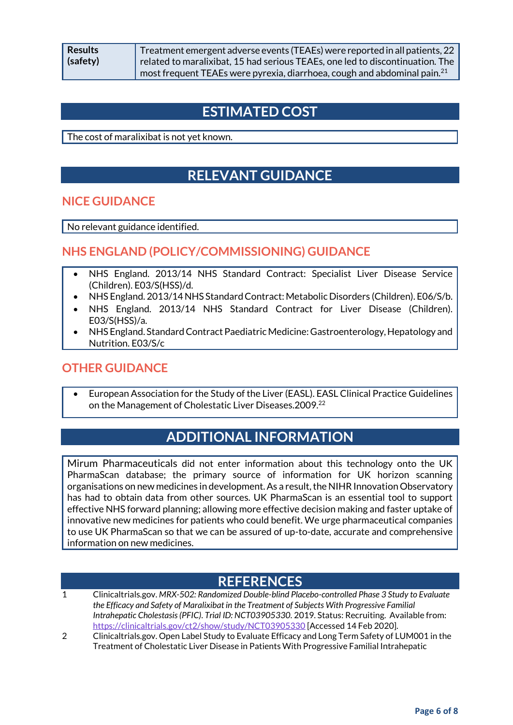Treatment emergent adverse events (TEAEs) were reported in all patients, 22 related to maralixibat, 15 had serious TEAEs, one led to discontinuation. The most frequent TEAEs were pyrexia, diarrhoea, cough and abdominal pain. $^{21}$ 

# **ESTIMATED COST**

The cost of maralixibat is not yet known.

# **RELEVANT GUIDANCE**

#### **NICE GUIDANCE**

No relevant guidance identified.

#### **NHS ENGLAND (POLICY/COMMISSIONING) GUIDANCE**

- NHS England. 2013/14 NHS Standard Contract: Specialist Liver Disease Service (Children). E03/S(HSS)/d.
- NHS England. 2013/14 NHS Standard Contract: Metabolic Disorders (Children). E06/S/b.
- NHS England. 2013/14 NHS Standard Contract for Liver Disease (Children). E03/S(HSS)/a.
- NHS England. Standard Contract Paediatric Medicine: Gastroenterology, Hepatology and Nutrition. E03/S/c

#### **OTHER GUIDANCE**

 European Association for the Study of the Liver (EASL). EASL Clinical Practice Guidelines on the Management of Cholestatic Liver Diseases. 2009.<sup>22</sup>

# **ADDITIONAL INFORMATION**

Mirum Pharmaceuticals did not enter information about this technology onto the UK PharmaScan database; the primary source of information for UK horizon scanning organisations on new medicines in development. As a result, the NIHR Innovation Observatory has had to obtain data from other sources. UK PharmaScan is an essential tool to support effective NHS forward planning; allowing more effective decision making and faster uptake of innovative new medicines for patients who could benefit. We urge pharmaceutical companies to use UK PharmaScan so that we can be assured of up-to-date, accurate and comprehensive information on new medicines.

#### **REFERENCES**

- 1 Clinicaltrials.gov. *MRX-502: Randomized Double-blind Placebo-controlled Phase 3 Study to Evaluate the Efficacy and Safety of Maralixibat in the Treatment of Subjects With Progressive Familial Intrahepatic Cholestasis (PFIC)*. *Trial ID: NCT03905330*. 2019. Status: Recruiting. Available from: <https://clinicaltrials.gov/ct2/show/study/NCT03905330> [Accessed 14 Feb 2020].
- 2 Clinicaltrials.gov. Open Label Study to Evaluate Efficacy and Long Term Safety of LUM001 in the Treatment of Cholestatic Liver Disease in Patients With Progressive Familial Intrahepatic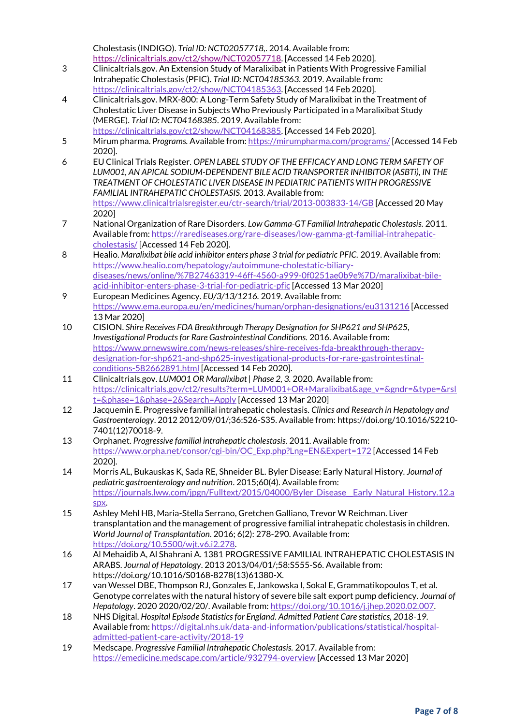Cholestasis (INDIGO). *Trial ID: NCT02057718,*. 2014. Available from: [https://clinicaltrials.gov/ct2/show/NCT02057718.](https://clinicaltrials.gov/ct2/show/NCT02057718) [Accessed 14 Feb 2020].

- 3 Clinicaltrials.gov. An Extension Study of Maralixibat in Patients With Progressive Familial Intrahepatic Cholestasis (PFIC). *Trial ID: NCT04185363*. 2019. Available from: [https://clinicaltrials.gov/ct2/show/NCT04185363.](https://clinicaltrials.gov/ct2/show/NCT04185363) [Accessed 14 Feb 2020].
- 4 Clinicaltrials.gov. MRX-800: A Long-Term Safety Study of Maralixibat in the Treatment of Cholestatic Liver Disease in Subjects Who Previously Participated in a Maralixibat Study (MERGE). *Trial ID: NCT04168385*. 2019. Available from: [https://clinicaltrials.gov/ct2/show/NCT04168385.](https://clinicaltrials.gov/ct2/show/NCT04168385) [Accessed 14 Feb 2020].
- 5 Mirum pharma. *Programs.* Available from[: https://mirumpharma.com/programs/](https://mirumpharma.com/programs/) [Accessed 14 Feb 2020].
- 6 EU Clinical Trials Register. *OPEN LABEL STUDY OF THE EFFICACY AND LONG TERM SAFETY OF LUM001, AN APICAL SODIUM-DEPENDENT BILE ACID TRANSPORTER INHIBITOR (ASBTi), IN THE TREATMENT OF CHOLESTATIC LIVER DISEASE IN PEDIATRIC PATIENTS WITH PROGRESSIVE FAMILIAL INTRAHEPATIC CHOLESTASIS.* 2013. Available from: <https://www.clinicaltrialsregister.eu/ctr-search/trial/2013-003833-14/GB> [Accessed 20 May 2020]
- 7 National Organization of Rare Disorders. *Low Gamma-GT Familial Intrahepatic Cholestasis.* 2011. Available from[: https://rarediseases.org/rare-diseases/low-gamma-gt-familial-intrahepatic](https://rarediseases.org/rare-diseases/low-gamma-gt-familial-intrahepatic-cholestasis/)[cholestasis/](https://rarediseases.org/rare-diseases/low-gamma-gt-familial-intrahepatic-cholestasis/) [Accessed 14 Feb 2020].
- 8 Healio. *Maralixibat bile acid inhibitor enters phase 3 trial for pediatric PFIC.* 2019. Available from: [https://www.healio.com/hepatology/autoimmune-cholestatic-biliary](https://www.healio.com/hepatology/autoimmune-cholestatic-biliary-diseases/news/online/%7B27463319-46ff-4560-a999-0f0251ae0b9e%7D/maralixibat-bile-acid-inhibitor-enters-phase-3-trial-for-pediatric-pfic)[diseases/news/online/%7B27463319-46ff-4560-a999-0f0251ae0b9e%7D/maralixibat-bile](https://www.healio.com/hepatology/autoimmune-cholestatic-biliary-diseases/news/online/%7B27463319-46ff-4560-a999-0f0251ae0b9e%7D/maralixibat-bile-acid-inhibitor-enters-phase-3-trial-for-pediatric-pfic)[acid-inhibitor-enters-phase-3-trial-for-pediatric-pfic](https://www.healio.com/hepatology/autoimmune-cholestatic-biliary-diseases/news/online/%7B27463319-46ff-4560-a999-0f0251ae0b9e%7D/maralixibat-bile-acid-inhibitor-enters-phase-3-trial-for-pediatric-pfic) [Accessed 13 Mar 2020]
- 9 European Medicines Agency. *EU/3/13/1216.* 2019. Available from: <https://www.ema.europa.eu/en/medicines/human/orphan-designations/eu3131216> [Accessed 13 Mar 2020]
- 10 CISION. *Shire Receives FDA Breakthrough Therapy Designation for SHP621 and SHP625, Investigational Products for Rare Gastrointestinal Conditions.* 2016. Available from: [https://www.prnewswire.com/news-releases/shire-receives-fda-breakthrough-therapy](https://www.prnewswire.com/news-releases/shire-receives-fda-breakthrough-therapy-designation-for-shp621-and-shp625-investigational-products-for-rare-gastrointestinal-conditions-582662891.html)[designation-for-shp621-and-shp625-investigational-products-for-rare-gastrointestinal](https://www.prnewswire.com/news-releases/shire-receives-fda-breakthrough-therapy-designation-for-shp621-and-shp625-investigational-products-for-rare-gastrointestinal-conditions-582662891.html)[conditions-582662891.html](https://www.prnewswire.com/news-releases/shire-receives-fda-breakthrough-therapy-designation-for-shp621-and-shp625-investigational-products-for-rare-gastrointestinal-conditions-582662891.html) [Accessed 14 Feb 2020].
- 11 Clinicaltrials.gov. *LUM001 OR Maralixibat | Phase 2, 3.* 2020. Available from: [https://clinicaltrials.gov/ct2/results?term=LUM001+OR+Maralixibat&age\\_v=&gndr=&type=&rsl](https://clinicaltrials.gov/ct2/results?term=LUM001+OR+Maralixibat&age_v=&gndr=&type=&rslt=&phase=1&phase=2&Search=Apply) [t=&phase=1&phase=2&Search=Apply](https://clinicaltrials.gov/ct2/results?term=LUM001+OR+Maralixibat&age_v=&gndr=&type=&rslt=&phase=1&phase=2&Search=Apply) [Accessed 13 Mar 2020]
- 12 Jacquemin E. Progressive familial intrahepatic cholestasis. *Clinics and Research in Hepatology and Gastroenterology*. 2012 2012/09/01/;36:S26-S35. Available from: https://doi.org/10.1016/S2210- 7401(12)70018-9.
- 13 Orphanet. *Progressive familial intrahepatic cholestasis.* 2011. Available from: [https://www.orpha.net/consor/cgi-bin/OC\\_Exp.php?Lng=EN&Expert=172](https://www.orpha.net/consor/cgi-bin/OC_Exp.php?Lng=EN&Expert=172) [Accessed 14 Feb 2020].
- 14 Morris AL, Bukauskas K, Sada RE, Shneider BL. Byler Disease: Early Natural History. *Journal of pediatric gastroenterology and nutrition*. 2015;60(4). Available from: [https://journals.lww.com/jpgn/Fulltext/2015/04000/Byler\\_Disease\\_\\_Early\\_Natural\\_History.12.a](https://journals.lww.com/jpgn/Fulltext/2015/04000/Byler_Disease__Early_Natural_History.12.aspx) [spx.](https://journals.lww.com/jpgn/Fulltext/2015/04000/Byler_Disease__Early_Natural_History.12.aspx)
- 15 Ashley Mehl HB, Maria-Stella Serrano, Gretchen Galliano, Trevor W Reichman. Liver transplantation and the management of progressive familial intrahepatic cholestasis in children. *World Journal of Transplantation*. 2016; 6(2): 278-290. Available from: [https://doi.org/10.5500/wjt.v6.i2.278.](https://doi.org/10.5500/wjt.v6.i2.278)
- 16 Al Mehaidib A, Al Shahrani A. 1381 PROGRESSIVE FAMILIAL INTRAHEPATIC CHOLESTASIS IN ARABS. *Journal of Hepatology*. 2013 2013/04/01/;58:S555-S6. Available from: https://doi.org/10.1016/S0168-8278(13)61380-X.
- 17 van Wessel DBE, Thompson RJ, Gonzales E, Jankowska I, Sokal E, Grammatikopoulos T, et al. Genotype correlates with the natural history of severe bile salt export pump deficiency. *Journal of Hepatology*. 2020 2020/02/20/. Available from: [https://doi.org/10.1016/j.jhep.2020.02.007.](https://doi.org/https:/doi.org/10.1016/j.jhep.2020.02.007)
- 18 NHS Digital. *Hospital Episode Statistics for England. Admitted Patient Care statistics, 2018-19*. Available from[: https://digital.nhs.uk/data-and-information/publications/statistical/hospital](https://digital.nhs.uk/data-and-information/publications/statistical/hospital-admitted-patient-care-activity/2018-19)[admitted-patient-care-activity/2018-19](https://digital.nhs.uk/data-and-information/publications/statistical/hospital-admitted-patient-care-activity/2018-19)
- 19 Medscape. *Progressive Familial Intrahepatic Cholestasis.* 2017. Available from: <https://emedicine.medscape.com/article/932794-overview> [Accessed 13 Mar 2020]